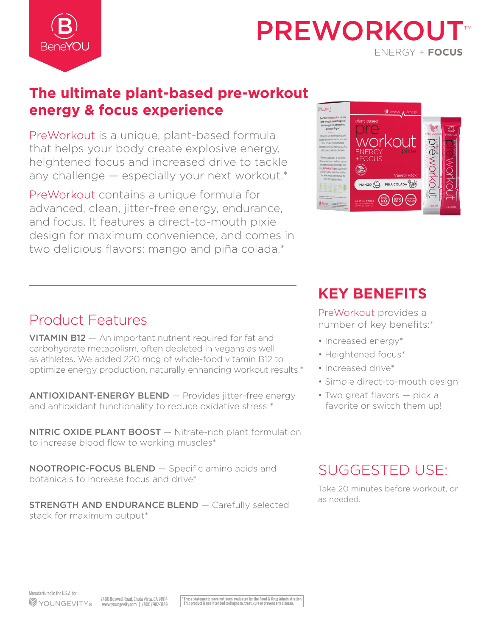

# PREWORKOL ENERGY + **FOCUS**

# **The ultimate plant-based pre-workout energy & focus experience**

PreWorkout is a unique, plant-based formula that helps your body create explosive energy, heightened focus and increased drive to tackle any challenge — especially your next workout.\*

PreWorkout contains a unique formula for advanced, clean, jitter-free energy, endurance, and focus. It features a direct-to-mouth pixie design for maximum convenience, and comes in two delicious flavors: mango and piña colada.\*



# Product Features

VITAMIN B12 — An important nutrient required for fat and carbohydrate metabolism, often depleted in vegans as well as athletes. We added 220 mcg of whole-food vitamin B12 to optimize energy production, naturally enhancing workout results.\*

ANTIOXIDANT-ENERGY BLEND — Provides jitter-free energy and antioxidant functionality to reduce oxidative stress \*

**NITRIC OXIDE PLANT BOOST** - Nitrate-rich plant formulation to increase blood flow to working muscles\*

NOOTROPIC-FOCUS BLEND — Specific amino acids and botanicals to increase focus and drive\*

**STRENGTH AND ENDURANCE BLEND - Carefully selected** stack for maximum output\*

# **KEY BENEFITS**

PreWorkout provides a number of key benefits:\*

- Increased energy\*
- Heightened focus\*
- Increased drive\*
- Simple direct-to-mouth design
- Two great flavors pick a favorite or switch them up!

# SUGGESTED USE:

Take 20 minutes before workout, or as needed.